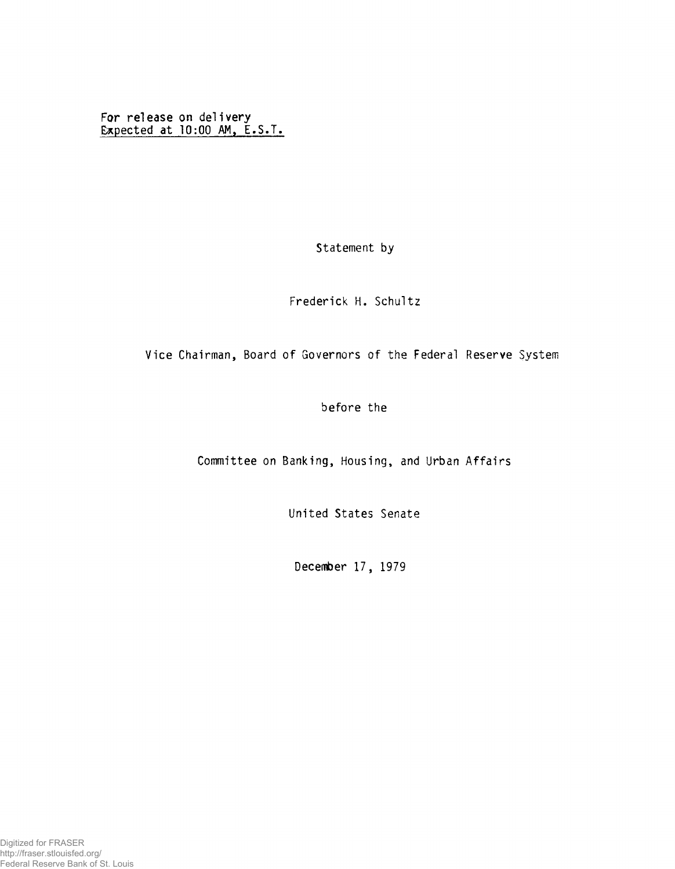**For release on delivery Expected at 10:00 AM, E.S.T.**

Statement by

Frederick H. Schultz

## Vice Chairman, Board of Governors of the Federal Reserve System

before the

Committee on Banking, Housing, and Urban Affairs

United States Senate

December 17, 1979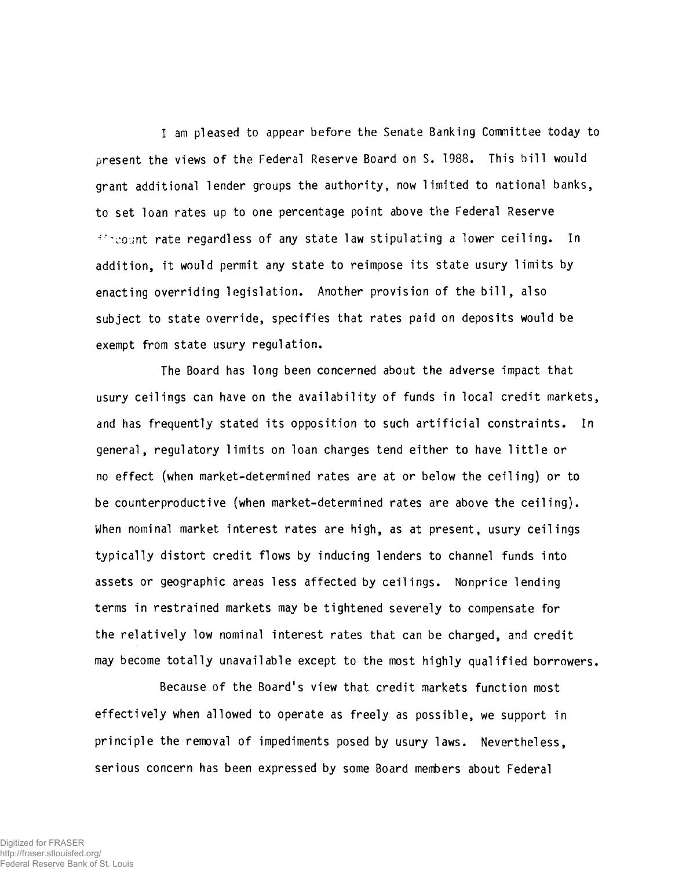I am pleased to appear before the Senate Banking Committee today to present the views of the Federal Reserve Board on S. 1988. This bill would grant additional lender groups the authority, now limited to national banks, to set loan rates up to one percentage point above the Federal Reserve ■''count rate regardless of any state law stipulating a lower ceiling. In addition, it would permit any state to reimpose its state usury limits by enacting overriding legislation. Another provision of the bill, also subject to state override, specifies that rates paid on deposits would be exempt from state usury regulation.

The Board has long been concerned about the adverse impact that usury ceilings can have on the availability of funds in local credit markets, and has frequently stated its opposition to such artificial constraints. In general, regulatory limits on loan charges tend either to have little or no effect (when market-determined rates are at or below the ceiling) or to be counterproductive (when market-determined rates are above the ceiling). When nominal market interest rates are high, as at present, usury ceilings typically distort credit flows by inducing lenders to channel funds into assets or geographic areas less affected by ceilings. Nonprice lending terms in restrained markets may be tightened severely to compensate for the relatively low nominal interest rates that can be charged, and credit may become totally unavailable except to the most highly qualified borrowers.

Because of the Board's view that credit markets function most effectively when allowed to operate as freely as possible, we support in principle the removal of impediments posed by usury laws. Nevertheless, serious concern has been expressed by some Board members about Federal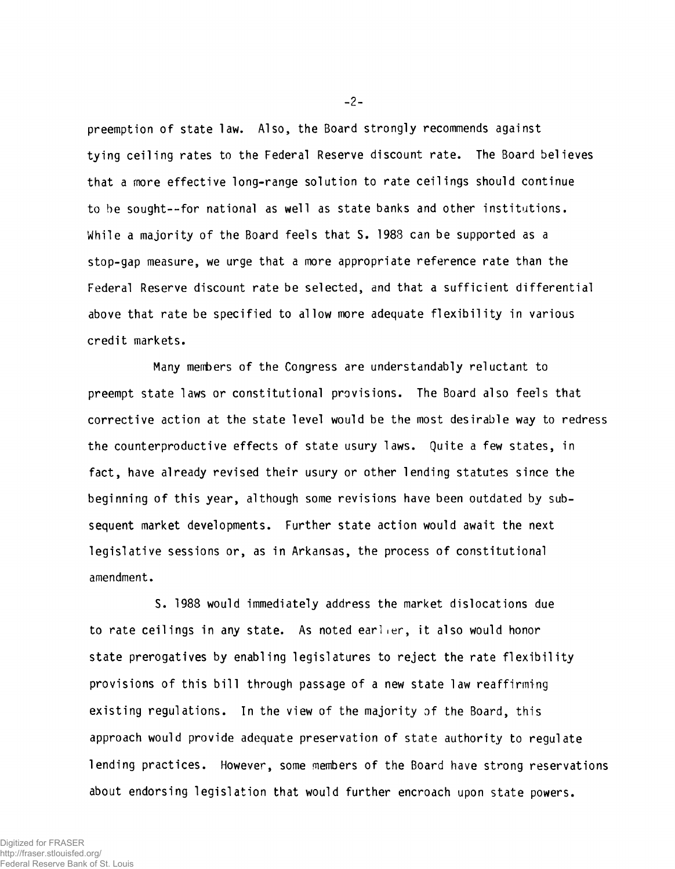preemption of state law. Also, the Board strongly recommends against tying ceiling rates to the Federal Reserve discount rate. The Board believes that a more effective long-range solution to rate ceilings should continue to be sought— for national as well as state banks and other institutions. While a majority of the Board feels that S. 1988 can be supported as a stop-gap measure, we urge that a more appropriate reference rate than the Federal Reserve discount rate be selected, and that a sufficient differential above that rate be specified to allow more adequate flexibility in various credit markets.

Many members of the Congress are understandably reluctant to preempt state laws or constitutional provisions. The Board also feels that corrective action at the state level would be the most desirable way to redress the counterproductive effects of state usury laws. Quite a few states, in fact, have already revised their usury or other lending statutes since the beginning of this year, although some revisions have been outdated by subsequent market developments. Further state action would await the next legislative sessions or, as in Arkansas, the process of constitutional amendment.

S. 1988 would immediately address the market dislocations due to rate ceilings in any state. As noted earlier, it also would honor state prerogatives by enabling legislatures to reject the rate flexibility provisions of this bill through passage of a new state law reaffirming existing regulations. In the view of the majority of the Board, this approach would provide adequate preservation of state authority to regulate lending practices. However, some members of the Board have strong reservations about endorsing legislation that would further encroach upon state powers.

**-** 2 **-**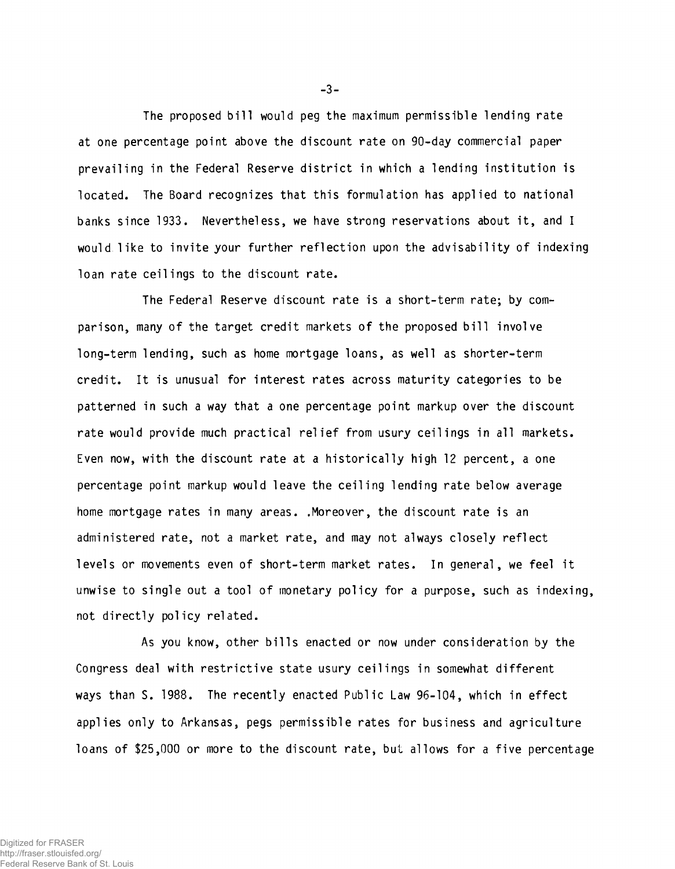The proposed bill would peg the maximum permissible lending rate at one percentage point above the discount rate on 90-day commercial paper prevailing in the Federal Reserve district in which a lending institution is located. The Board recognizes that this formulation has applied to national banks since 1933. Nevertheless, we have strong reservations about it, and I would like to invite your further reflection upon the advisability of indexing loan rate ceilings to the discount rate.

The Federal Reserve discount rate is a short-term rate; by comparison, many of the target credit markets of the proposed bill involve long-term lending, such as home mortgage loans, as well as shorter-term credit. It is unusual for interest rates across maturity categories to be patterned in such a way that a one percentage point markup over the discount rate would provide much practical relief from usury ceilings in all markets. Even now, with the discount rate at a historically high 12 percent, a one percentage point markup would leave the ceiling lending rate below average home mortgage rates in many areas. .Moreover, the discount rate is an administered rate, not a market rate, and may not always closely reflect levels or movements even of short-term market rates. In general, we feel it unwise to single out a tool of monetary policy for a purpose, such as indexing, not directly policy related.

As you know, other bills enacted or now under consideration by the Congress deal with restrictive state usury ceilings in somewhat different ways than S. 1988. The recently enacted Public Law 96-104, which in effect applies only to Arkansas, pegs permissible rates for business and agriculture loans of \$25,000 or more to the discount rate, but allows for a five percentage

 $-3-$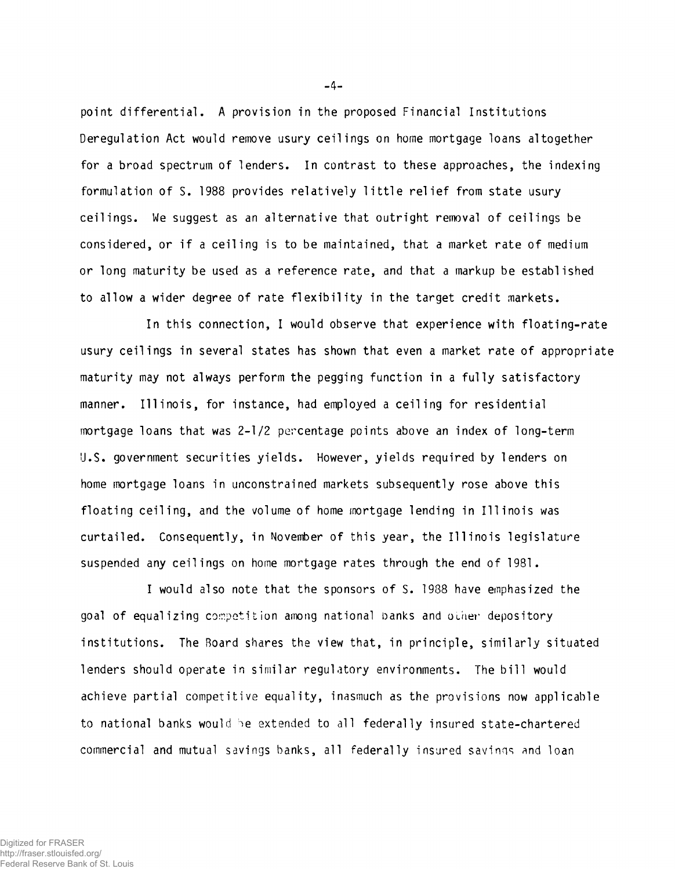point differential. A provision in the proposed Financial Institutions Deregulation Act would remove usury ceilings on home mortgage loans altogether for a broad spectrum of lenders. In contrast to these approaches, the indexing formulation of S. 1988 provides relatively little relief from state usury ceilings. We suggest as an alternative that outright removal of ceilings be considered, or if a ceiling is to be maintained, that a market rate of medium or long maturity be used as a reference rate, and that a markup be established to allow a wider degree of rate flexibility in the target credit markets.

In this connection, I would observe that experience with floating-rate usury ceilings in several states has shown that even a market rate of appropriate maturity may not always perform the pegging function in a fully satisfactory manner. Illinois, for instance, had employed a ceiling for residential mortgage loans that was 2-1/2 percentage points above an index of long-term U.S. government securities yields. However, yields required by lenders on home mortgage loans in unconstrained markets subsequently rose above this floating ceiling, and the volume of home mortgage lending in Illinois was curtailed. Consequently, in November of this year, the Illinois legislature suspended any ceilings on home mortgage rates through the end of 1981.

I would also note that the sponsors of S. 1988 have emphasized the goal of equalizing competition among national banks and ocher depository institutions. The Board shares the view that, in principle, similarly situated lenders should operate in similar regulatory environments. The bill would achieve partial competitive equality, inasmuch as the provisions now applicable to national banks would he extended to all federally insured state-chartered commercial and mutual savings banks, all federally insured savinqs and loan

 $-4-$